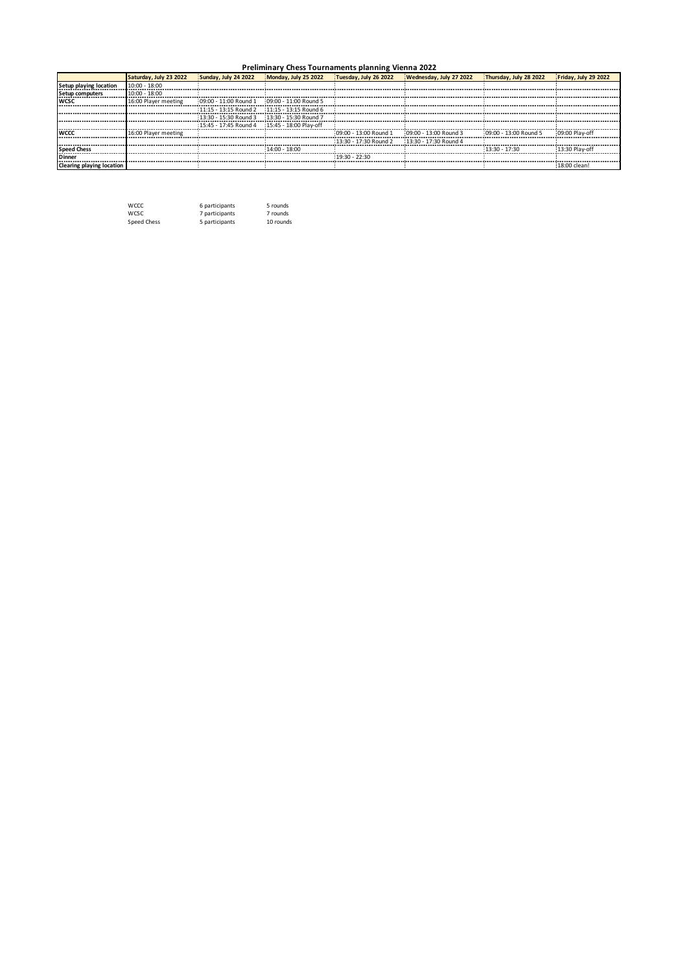## **Preliminary Chess Tournaments planning Vienna 2022**

|                                  | Saturday, July 23 2022 | Sunday, July 24 2022                            | Monday, July 25 2022    | Tuesday, July 26 2022   | Wednesday, July 27 2022 | Thursday, July 28 2022 | Friday, July 29 2022 |
|----------------------------------|------------------------|-------------------------------------------------|-------------------------|-------------------------|-------------------------|------------------------|----------------------|
| Setup playing location           | $10:00 - 18:00$        |                                                 |                         |                         |                         |                        |                      |
| Setup computers                  | $10:00 - 18:00$        |                                                 |                         |                         |                         |                        |                      |
| <b>WCSC</b>                      | 16:00 Player meeting   | 09:00 - 11:00 Round 1                           | 09:00 - 11:00 Round 5   |                         |                         |                        |                      |
|                                  |                        | 11:15 - 13:15 Round 2                           | $11.15 - 13.15$ Round 6 |                         |                         |                        |                      |
|                                  |                        | $13:30 - 15:30$ Round 3                         | 13:30 - 15:30 Round 7   |                         |                         |                        |                      |
|                                  |                        | 15:45 - 17:45 Round 4    15:45 - 18:00 Play-off |                         |                         |                         |                        |                      |
| <b>IWCCC</b>                     | 16:00 Player meeting   |                                                 |                         | $09:00 - 13:00$ Round 1 | $09:00 - 13:00$ Round 3 | 09:00 - 13:00 Round 5  | 09:00 Play-off       |
|                                  |                        |                                                 |                         | 13:30 - 17:30 Round 2   | 13:30 - 17:30 Round 4   |                        |                      |
| <b>Speed Chess</b>               |                        |                                                 | $14:00 - 18:00$         |                         |                         | $13:30 - 17:30$        | 13:30 Play-off       |
| <b>Dinner</b>                    |                        |                                                 |                         | $19:30 - 22:30$         |                         |                        |                      |
| <b>Clearing playing location</b> |                        |                                                 |                         |                         |                         |                        | 18:00 clean!         |

| <b>WCCC</b> | 6 participants | 5 rounds  |
|-------------|----------------|-----------|
| <b>WCSC</b> | 7 participants | 7 rounds  |
| Speed Chess | 5 participants | 10 rounds |